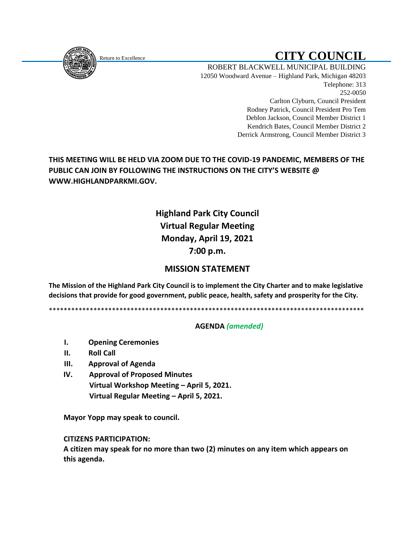<span id="page-0-0"></span>

# Return to Excellence **CITY COUNCIL**

ROBERT BLACKWELL MUNICIPAL BUILDING 12050 Woodward Avenue – Highland Park, Michigan 48203 Telephone: 313 252-0050 Carlton Clyburn, Council President Rodney Patrick, Council President Pro Tem Deblon Jackson, Council Member District 1 Kendrich Bates, Council Member District 2 Derrick Armstrong, Council Member District 3

### **THIS MEETING WILL BE HELD VIA ZOOM DUE TO THE COVID-19 PANDEMIC, MEMBERS OF THE PUBLIC CAN JOIN BY FOLLOWING THE INSTRUCTIONS ON THE CITY'S WEBSITE @ WWW.HIGHLANDPARKMI.GOV.**

## **Highland Park City Council Virtual Regular Meeting Monday, April 19, 2021 7:00 p.m.**

## **MISSION STATEMENT**

**The Mission of the Highland Park City Council is to implement the City Charter and to make legislative decisions that provide for good government, public peace, health, safety and prosperity for the City.**

\*\*\*\*\*\*\*\*\*\*\*\*\*\*\*\*\*\*\*\*\*\*\*\*\*\*\*\*\*\*\*\*\*\*\*\*\*\*\*\*\*\*\*\*\*\*\*\*\*\*\*\*\*\*\*\*\*\*\*\*\*\*\*\*\*\*\*\*\*\*\*\*\*\*\*\*\*\*\*\*\*\*\*\*\*

#### **AGENDA** *(amended)*

- **I. Opening Ceremonies**
- **II. Roll Call**
- **III. Approval of Agenda**
- **IV. Approval of Proposed Minutes Virtual Workshop Meeting – April 5, 2021. Virtual Regular Meeting – April 5, 2021.**

 **Mayor Yopp may speak to council.** 

 **CITIZENS PARTICIPATION:**

 **A citizen may speak for no more than two (2) minutes on any item which appears on this agenda.**